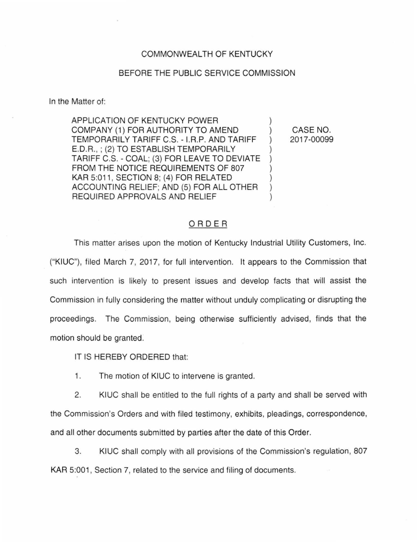## COMMONWEALTH OF KENTUCKY

## BEFORE THE PUBLIC SERVICE COMMISSION

In the Matter of:

APPLICATION OF KENTUCKY POWER ) COMPANY (1) FOR AUTHORITY TO AMEND ) TEMPORARILY TARIFF C.S. - I.R.P. AND TARIFF ) E.D.R. ,; (2) TO ESTABLISH TEMPORARILY ) TARIFF C.S. - COAL; (3) FOR LEAVE TO DEVIATE ) FROM THE NOTICE REQUIREMENTS OF 807 KAR 5:011, SECTION 8; (4) FOR RELATED ACCOUNTING RELIEF; AND (5) FOR ALL OTHER ) REQUIRED APPROVALS AND RELIEF

CASE NO. 2017-00099

## ORDER

This matter arises upon the motion of Kentucky Industrial Utility Customers, Inc. ("KIUC"), filed March 7, 2017, for full intervention. It appears to the Commission that such intervention is likely to present issues and develop facts that will assist the Commission in fully considering the matter without unduly complicating or disrupting the proceedings. The Commission, being otherwise sufficiently advised, finds that the motion should be granted.

IT IS HEREBY ORDERED that:

1. The motion of KIUC to intervene is granted.

2. KIUC shall be entitled to the full rights of a party and shall be served with the Commission's Orders and with filed testimony, exhibits, pleadings, correspondence, and all other documents submitted by parties after the date of this Order.

3. KIUC shall comply with all provisions of the Commission's regulation, 807 KAR 5:001, Section 7, related to the service and filing of documents.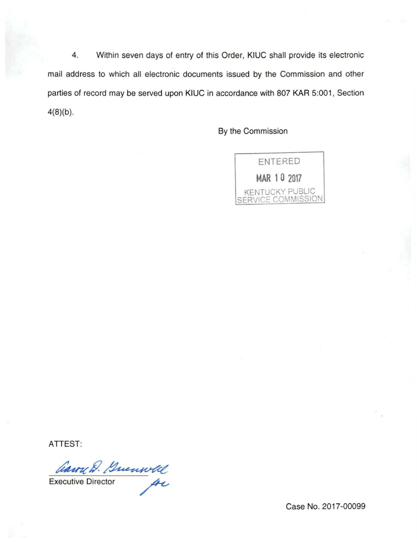4. Within seven days of entry of this Order, KIUC shall provide its electronic mail address to which all electronic documents issued by the Commission and other parties of record may be served upon KIUC in accordance with 807 KAR 5:001, Section  $4(8)(b)$ .

By the Commission



**ATTEST:** 

Carry D. Guenwell

Case No. 2017-00099